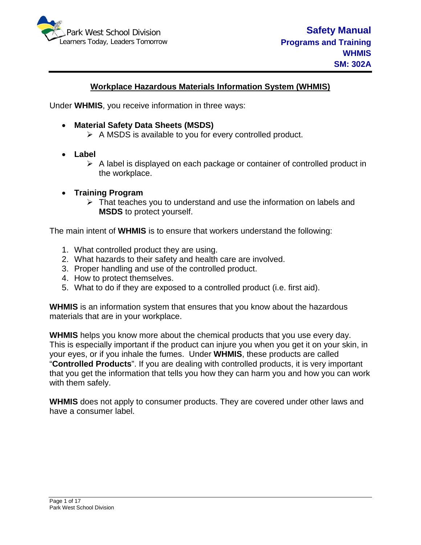

### **Workplace Hazardous Materials Information System (WHMIS)**

Under **WHMIS**, you receive information in three ways:

- **Material Safety Data Sheets (MSDS)**
	- $\triangleright$  A MSDS is available to you for every controlled product.
- **Label** 
	- $\triangleright$  A label is displayed on each package or container of controlled product in the workplace.
- **Training Program** 
	- $\triangleright$  That teaches you to understand and use the information on labels and **MSDS** to protect yourself.

The main intent of **WHMIS** is to ensure that workers understand the following:

- 1. What controlled product they are using.
- 2. What hazards to their safety and health care are involved.
- 3. Proper handling and use of the controlled product.
- 4. How to protect themselves.
- 5. What to do if they are exposed to a controlled product (i.e. first aid).

**WHMIS** is an information system that ensures that you know about the hazardous materials that are in your workplace.

**WHMIS** helps you know more about the chemical products that you use every day. This is especially important if the product can injure you when you get it on your skin, in your eyes, or if you inhale the fumes. Under **WHMIS**, these products are called "**Controlled Products**". If you are dealing with controlled products, it is very important that you get the information that tells you how they can harm you and how you can work with them safely.

**WHMIS** does not apply to consumer products. They are covered under other laws and have a consumer label.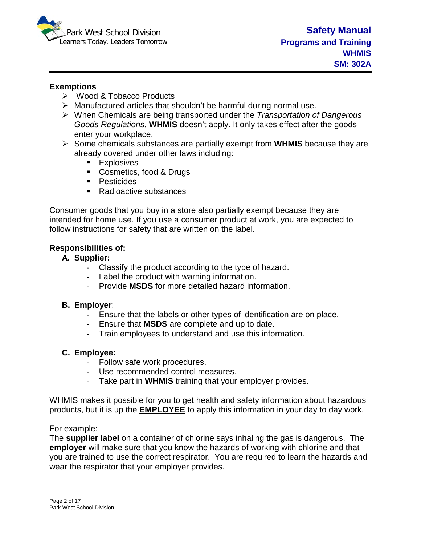

#### **Exemptions**

- Wood & Tobacco Products
- $\triangleright$  Manufactured articles that shouldn't be harmful during normal use.
- When Chemicals are being transported under the *Transportation of Dangerous Goods Regulations*, **WHMIS** doesn't apply. It only takes effect after the goods enter your workplace.
- Some chemicals substances are partially exempt from **WHMIS** because they are already covered under other laws including:
	- **Explosives**
	- **Cosmetics, food & Drugs**
	- **Pesticides**
	- Radioactive substances

Consumer goods that you buy in a store also partially exempt because they are intended for home use. If you use a consumer product at work, you are expected to follow instructions for safety that are written on the label.

#### **Responsibilities of:**

### **A. Supplier:**

- Classify the product according to the type of hazard.
- Label the product with warning information.
- Provide **MSDS** for more detailed hazard information.

### **B. Employer**:

- Ensure that the labels or other types of identification are on place.
- Ensure that **MSDS** are complete and up to date.
- Train employees to understand and use this information.

### **C. Employee:**

- Follow safe work procedures.
- Use recommended control measures.
- Take part in **WHMIS** training that your employer provides.

WHMIS makes it possible for you to get health and safety information about hazardous products, but it is up the **EMPLOYEE** to apply this information in your day to day work.

For example:

The **supplier label** on a container of chlorine says inhaling the gas is dangerous. The **employer** will make sure that you know the hazards of working with chlorine and that you are trained to use the correct respirator. You are required to learn the hazards and wear the respirator that your employer provides.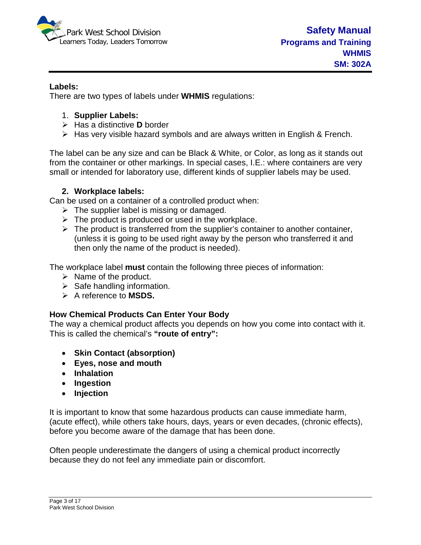

### **Labels:**

There are two types of labels under **WHMIS** regulations:

- 1. **Supplier Labels:**
- Has a distinctive **D** border
- $\triangleright$  Has very visible hazard symbols and are always written in English & French.

The label can be any size and can be Black & White, or Color, as long as it stands out from the container or other markings. In special cases, I.E.: where containers are very small or intended for laboratory use, different kinds of supplier labels may be used.

### **2. Workplace labels:**

Can be used on a container of a controlled product when:

- $\triangleright$  The supplier label is missing or damaged.
- $\triangleright$  The product is produced or used in the workplace.
- $\triangleright$  The product is transferred from the supplier's container to another container, (unless it is going to be used right away by the person who transferred it and then only the name of the product is needed).

The workplace label **must** contain the following three pieces of information:

- $\triangleright$  Name of the product.
- $\triangleright$  Safe handling information.
- A reference to **MSDS.**

# **How Chemical Products Can Enter Your Body**

The way a chemical product affects you depends on how you come into contact with it. This is called the chemical's **"route of entry":**

- **Skin Contact (absorption)**
- **Eyes, nose and mouth**
- **Inhalation**
- **Ingestion**
- **Injection**

It is important to know that some hazardous products can cause immediate harm, (acute effect), while others take hours, days, years or even decades, (chronic effects), before you become aware of the damage that has been done.

Often people underestimate the dangers of using a chemical product incorrectly because they do not feel any immediate pain or discomfort.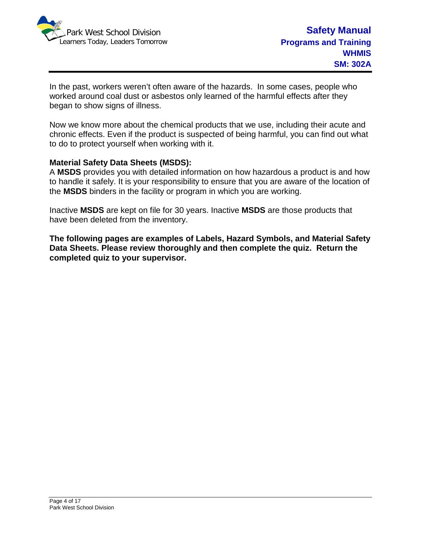

In the past, workers weren't often aware of the hazards. In some cases, people who worked around coal dust or asbestos only learned of the harmful effects after they began to show signs of illness.

Now we know more about the chemical products that we use, including their acute and chronic effects. Even if the product is suspected of being harmful, you can find out what to do to protect yourself when working with it.

#### **Material Safety Data Sheets (MSDS):**

A **MSDS** provides you with detailed information on how hazardous a product is and how to handle it safely. It is your responsibility to ensure that you are aware of the location of the **MSDS** binders in the facility or program in which you are working.

Inactive **MSDS** are kept on file for 30 years. Inactive **MSDS** are those products that have been deleted from the inventory.

**The following pages are examples of Labels, Hazard Symbols, and Material Safety Data Sheets. Please review thoroughly and then complete the quiz. Return the completed quiz to your supervisor.**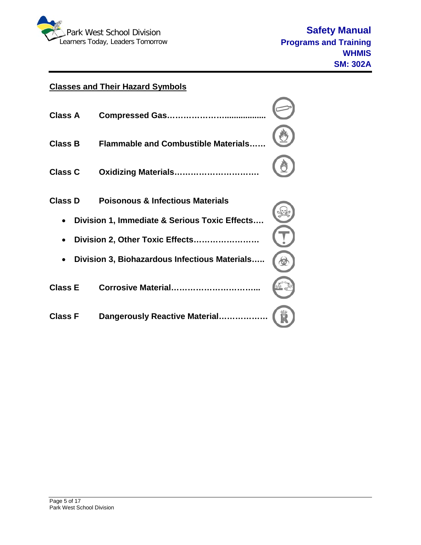

# **Classes and Their Hazard Symbols**

| <b>Class A</b> |                                               |  |
|----------------|-----------------------------------------------|--|
| <b>Class B</b> | <b>Flammable and Combustible Materials</b>    |  |
| <b>Class C</b> | Oxidizing Materials                           |  |
| <b>Class D</b> | <b>Poisonous &amp; Infectious Materials</b>   |  |
|                | Division 1, Immediate & Serious Toxic Effects |  |
|                | Division 2, Other Toxic Effects               |  |
|                | Division 3, Biohazardous Infectious Materials |  |
| <b>Class E</b> | Corrosive Material                            |  |
| <b>Class F</b> | Dangerously Reactive Material                 |  |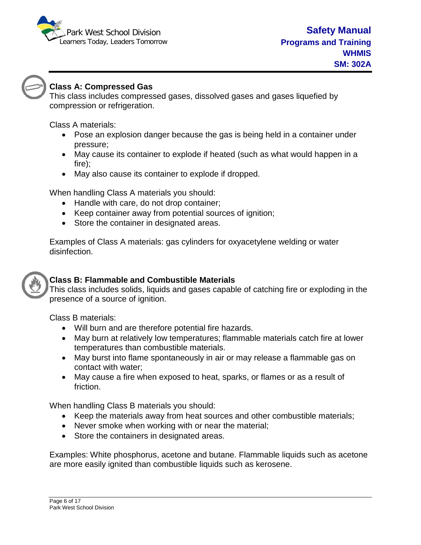



# **Class A: Compressed Gas**

This class includes compressed gases, dissolved gases and gases liquefied by compression or refrigeration.

Class A materials:

- Pose an explosion danger because the gas is being held in a container under pressure;
- May cause its container to explode if heated (such as what would happen in a fire);
- May also cause its container to explode if dropped.

When handling Class A materials you should:

- Handle with care, do not drop container;
- Keep container away from potential sources of ignition;
- Store the container in designated areas.

Examples of Class A materials: gas cylinders for oxyacetylene welding or water disinfection.



# **Class B: Flammable and Combustible Materials**

This class includes solids, liquids and gases capable of catching fire or exploding in the presence of a source of ignition.

Class B materials:

- Will burn and are therefore potential fire hazards.
- May burn at relatively low temperatures; flammable materials catch fire at lower temperatures than combustible materials.
- May burst into flame spontaneously in air or may release a flammable gas on contact with water;
- May cause a fire when exposed to heat, sparks, or flames or as a result of friction.

When handling Class B materials you should:

- Keep the materials away from heat sources and other combustible materials;
- Never smoke when working with or near the material;
- Store the containers in designated areas.

Examples: White phosphorus, acetone and butane. Flammable liquids such as acetone are more easily ignited than combustible liquids such as kerosene.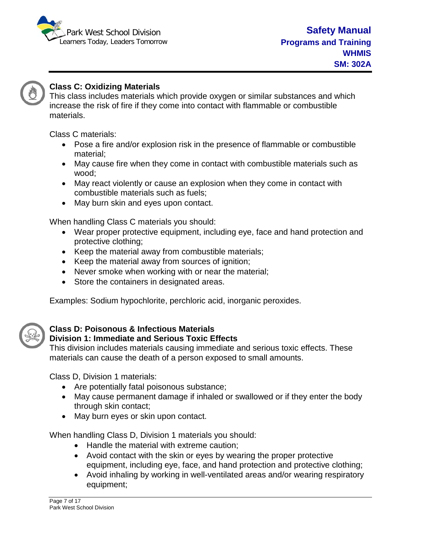



# **Class C: Oxidizing Materials**

This class includes materials which provide oxygen or similar substances and which increase the risk of fire if they come into contact with flammable or combustible materials.

Class C materials:

- Pose a fire and/or explosion risk in the presence of flammable or combustible material;
- May cause fire when they come in contact with combustible materials such as wood;
- May react violently or cause an explosion when they come in contact with combustible materials such as fuels;
- May burn skin and eyes upon contact.

When handling Class C materials you should:

- Wear proper protective equipment, including eye, face and hand protection and protective clothing;
- Keep the material away from combustible materials;
- Keep the material away from sources of ignition;
- Never smoke when working with or near the material;
- Store the containers in designated areas.

Examples: Sodium hypochlorite, perchloric acid, inorganic peroxides.



# **Class D: Poisonous & Infectious Materials**

# **Division 1: Immediate and Serious Toxic Effects**

This division includes materials causing immediate and serious toxic effects. These materials can cause the death of a person exposed to small amounts.

Class D, Division 1 materials:

- Are potentially fatal poisonous substance;
- May cause permanent damage if inhaled or swallowed or if they enter the body through skin contact;
- May burn eyes or skin upon contact.

When handling Class D, Division 1 materials you should:

- Handle the material with extreme caution;
- Avoid contact with the skin or eyes by wearing the proper protective equipment, including eye, face, and hand protection and protective clothing;
- Avoid inhaling by working in well-ventilated areas and/or wearing respiratory equipment;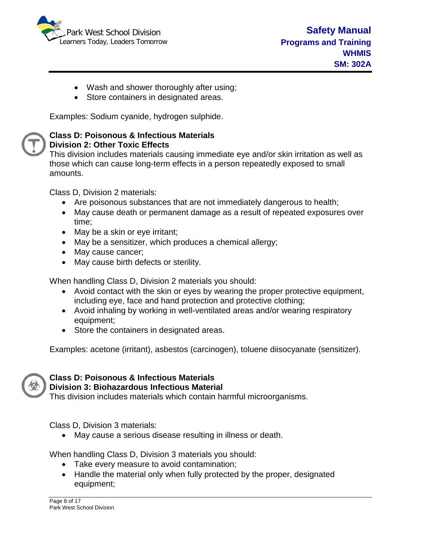

- Wash and shower thoroughly after using;
- Store containers in designated areas.

Examples: Sodium cyanide, hydrogen sulphide.

#### **Class D: Poisonous & Infectious Materials Division 2: Other Toxic Effects**

This division includes materials causing immediate eye and/or skin irritation as well as those which can cause long-term effects in a person repeatedly exposed to small amounts.

Class D, Division 2 materials:

- Are poisonous substances that are not immediately dangerous to health;
- May cause death or permanent damage as a result of repeated exposures over time;
- May be a skin or eye irritant;
- May be a sensitizer, which produces a chemical allergy;
- May cause cancer;
- May cause birth defects or sterility.

When handling Class D, Division 2 materials you should:

- Avoid contact with the skin or eyes by wearing the proper protective equipment, including eye, face and hand protection and protective clothing;
- Avoid inhaling by working in well-ventilated areas and/or wearing respiratory equipment;
- Store the containers in designated areas.

Examples: acetone (irritant), asbestos (carcinogen), toluene diisocyanate (sensitizer).



#### **Class D: Poisonous & Infectious Materials Division 3: Biohazardous Infectious Material**

This division includes materials which contain harmful microorganisms.

Class D, Division 3 materials:

• May cause a serious disease resulting in illness or death.

When handling Class D, Division 3 materials you should:

- Take every measure to avoid contamination;
- Handle the material only when fully protected by the proper, designated equipment;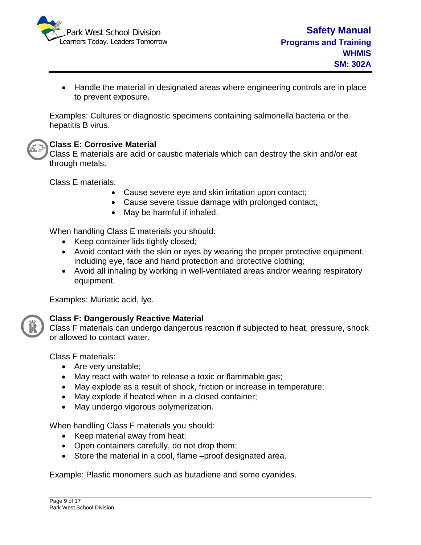

• Handle the material in designated areas where engineering controls are in place to prevent exposure.

Examples: Cultures or diagnostic specimens containing salmonella bacteria or the hepatitis B virus.

### **Class E: Corrosive Material**

Class E materials are acid or caustic materials which can destroy the skin and/or eat through metals.

Class E materials:

- Cause severe eye and skin irritation upon contact;
- Cause severe tissue damage with prolonged contact;
- May be harmful if inhaled.

When handling Class E materials you should:

- Keep container lids tightly closed;
- Avoid contact with the skin or eyes by wearing the proper protective equipment, including eye, face and hand protection and protective clothing;
- Avoid all inhaling by working in well-ventilated areas and/or wearing respiratory equipment.

Examples: Muriatic acid, lye.



### **Class F: Dangerously Reactive Material**

Class F materials can undergo dangerous reaction if subjected to heat, pressure, shock or allowed to contact water.

Class F materials:

- Are very unstable;
- May react with water to release a toxic or flammable gas;
- May explode as a result of shock, friction or increase in temperature;
- May explode if heated when in a closed container;
- May undergo vigorous polymerization.

When handling Class F materials you should:

- Keep material away from heat;
- Open containers carefully, do not drop them;
- Store the material in a cool, flame –proof designated area.

Example: Plastic monomers such as butadiene and some cyanides.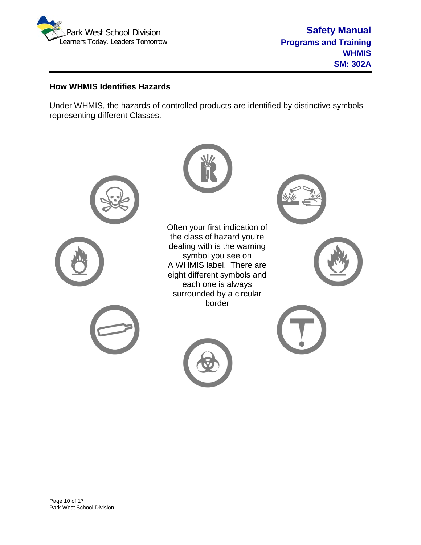

### **How WHMIS Identifies Hazards**

Under WHMIS, the hazards of controlled products are identified by distinctive symbols representing different Classes.

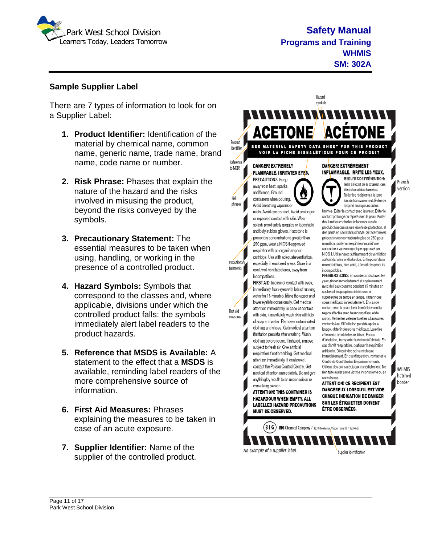

Hazard symbols

Product

Identifier

Reference

to MSDS

Risk

phrases

recautionar

tatements |

First aid

measures

#### **Sample Supplier Label**

There are 7 types of information to look for on a Supplier Label:

- **1. Product Identifier:** Identification of the material by chemical name, common name, generic name, trade name, brand name, code name or number.
- **2. Risk Phrase:** Phases that explain the nature of the hazard and the risks involved in misusing the product, beyond the risks conveyed by the symbols.
- **3. Precautionary Statement:** The essential measures to be taken when using, handling, or working in the presence of a controlled product.
- **4. Hazard Symbols:** Symbols that correspond to the classes and, where applicable, divisions under which the controlled product falls: the symbols immediately alert label readers to the product hazards.
- **5. Reference that MSDS is Available:** A statement to the effect that a **MSDS** is available, reminding label readers of the more comprehensive source of information.
- **6. First Aid Measures:** Phrases explaining the measures to be taken in case of an acute exposure.
- **7. Supplier Identifier:** Name of the supplier of the controlled product.

**ACÉTONE ACETONE** SEE MATERIAL SAFETY DATA SHEET FOR THIS PRODUCT VOIR LA FICHE SIGNALÉTIQUE POUR CE PRODUIT **DANGER! EXTREMELY** DANGER! EXTRÈMEMENT **FLAMMABLE. IRRITATES EYES.** INFLAMMABLE. IRRITE LES YEUX. **MESURES DE PRÉVENTION:** PRECAUTIONS: Keep away from heat, sparks and flames. Ground containers when pouring. Avoid breathing vapours or respirer les vapeurs ou les mists. Avoid eye contact. Avoid prolonged or repeated contact with skin. Wear des lunettes contre les éclaboussures de splash-proof safety goggles or faceshield and butyl rubber gloves. If acetone is present in concentrations greater than 250 nom. wear a NIOSH-approved respirator with an organic vapour cartridge. Use with adequate ventilation, especially in enclosed areas. Store in a cool, well-ventilated area, away from incompatibles. PREMIERS SOINS: En cas de contact avec les incompatibles. FIRST AID: In case of contact with eyes,

immediately flush eves with lots of running water for 15 minutes, lifting the upper and lower evelids occasionally. Get medical attention immediately. In case of contact with skin, immediately wash skin with lots of soap and water. Remove contaminated clothing and shoes. Get medical attention if irritation persists after washing. Wash clothing before reuse. If inhaled, remove subject to fresh air. Give artificial respiration if not breathing. Get medical attention immediately. If swallowed, contact the Poison Control Centre. Get medical attention immediately. Do not give convulsions. anything by mouth to an unconscious or **ATTENTION! CE RECIPIENT EST** 

convulsing person. **ATTENTION! THIS CONTAINER IS HAZARDOUS WHEN EMPTY, ALL LABELLED HAZARD PRECAUTIONS MUST BE OBSERVED.** 

WHMIS



French

version

Tenir à l'écart de la chaleur, des étincelles et des flammes. Relier les récipients à la terre lors du transvasement. Éviter de

brumes. Eviter le contact avec les yeux. Éviter le contact prolongé ou répété avec la peau. Porter produit chimique ou une visière de protection, et des gants en caoutchouc butyle. Si l'acétone est présent en concentration de plus de 250 pour un million, porter un respirateur muni d'une cartouche à vapeur organique approuvé par NIOSH. Utiliser avec suffisamment de ventilation surtout dans les endroits clos. Entreposer dans un endroit frais, bien aéré, à l'écart des produits

yeux, rincer immédiatement et copieusement avec de l'eau courante pendant 15 minutes en soulevant les paupières inférieures et supérieures de temps en temps. Obtenir des soins médicaux immédiatement. En cas de contact avec la peau, laver immédiatement la region affectée avec beaucoup d'eau et de savon. Retirer les vêtements et les chaussures contaminées. Si l'irritation persiste après le lavage, obtenir des soins médicaux. Laver les vêtements avant de les réutiliser. En cas d'inhalation, transporter la victime à l'air frais. En cas d'arrét respiratoire, pratiquer la respiration artificielle. Obtenir des soins médicaux immédiatement. En cas d'ingestion, contacter le Centre de Contrôle des Empoisonnements. Obtenir des soins médicaux immédiatement. Ne rien faire avaler à une victime inconsciente ou en

SUR LES ÉTIQUETTES DOIVENT

hatched border DANGEREUX LORSOU'IL EST VIDE. **CHAQUE INDICATION DE DANGER**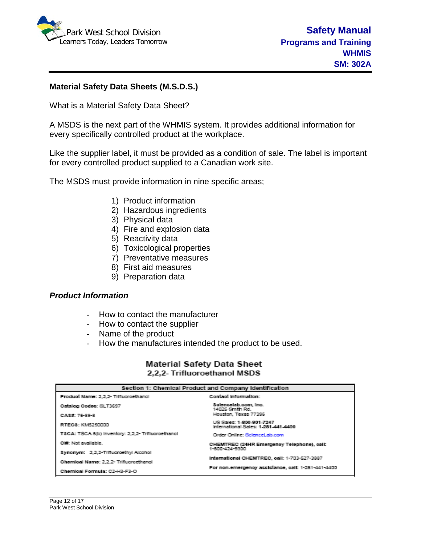

### **Material Safety Data Sheets (M.S.D.S.)**

What is a Material Safety Data Sheet?

A MSDS is the next part of the WHMIS system. It provides additional information for every specifically controlled product at the workplace.

Like the supplier label, it must be provided as a condition of sale. The label is important for every controlled product supplied to a Canadian work site.

The MSDS must provide information in nine specific areas;

- 1) Product information
- 2) Hazardous ingredients
- 3) Physical data
- 4) Fire and explosion data
- 5) Reactivity data
- 6) Toxicological properties
- 7) Preventative measures
- 8) First aid measures
- 9) Preparation data

#### *Product Information*

- How to contact the manufacturer
- How to contact the supplier
- Name of the product
- How the manufactures intended the product to be used.

#### **Material Safety Data Sheet** 2,2,2- Trifluoroethanol MSDS

| Section 1: Chemical Product and Company Identification |                                                                 |  |  |
|--------------------------------------------------------|-----------------------------------------------------------------|--|--|
| Product Name: 2.2.2- Trifluoroethanol                  | Contact information:                                            |  |  |
| Catalog Codes: SLT3697                                 | Solencelab.com, Inc.<br>14025 Smith Rd.                         |  |  |
| CASE: 75-89-8                                          | Houston, Texas 77396                                            |  |  |
| RTECS: KM5250000                                       | US Sales: 1-800-801-7247<br>International Sales: 1-281-441-4400 |  |  |
| T8CA: TSCA 8(b) Inventory: 2.2.2- Trifluoroethanol     | Order Online: ScienceLab.com                                    |  |  |
| Ciff: Not available.                                   | CHEMTREC (24HR Emergency Telephone), call:                      |  |  |
| Synonym: 2.2.2-Trifluoroethyl Alcohol                  | 1-800-424-9300                                                  |  |  |
| Chemical Name: 2.2.2- Trifluoroethanol                 | International CHEMTREC, call: 1-703-527-3887                    |  |  |
| Chemical Formula: C2-H3-F3-O                           | For non-emergency assistance, call: 1-281-441-4400              |  |  |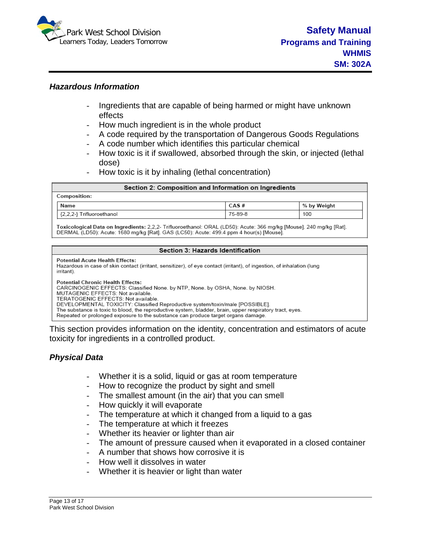

#### *Hazardous Information*

- Ingredients that are capable of being harmed or might have unknown effects
- How much ingredient is in the whole product
- A code required by the transportation of Dangerous Goods Regulations
- A code number which identifies this particular chemical
- How toxic is it if swallowed, absorbed through the skin, or injected (lethal dose)
- How toxic is it by inhaling (lethal concentration)

| Section 2: Composition and Information on Ingredients                                                              |      |             |  |
|--------------------------------------------------------------------------------------------------------------------|------|-------------|--|
| Composition:                                                                                                       |      |             |  |
| Name                                                                                                               | CAS# | % by Weight |  |
| 75-89-8<br>100<br>{2,2,2-} Trifluoroethanol                                                                        |      |             |  |
| Toxicological Data on Ingredients: 2.2.2. Trifluoroethanol: ORAL (LD50): Acute: 366 mg/kg [Mouse], 240 mg/kg [Rat] |      |             |  |

DERMAL (LD50): Acute: 1680 mg/kg [Rat]. GAS (LC50): Acute: 499.4 ppm 4 hour(s) [Mouse].

#### Section 3: Hazards Identification

**Potential Acute Health Effects:** 

Hazardous in case of skin contact (irritant, sensitizer), of eye contact (irritant), of ingestion, of inhalation (lung irritant)

**Potential Chronic Health Effects:** 

CARCINOGENIC EFFECTS: Classified None. by NTP, None. by OSHA, None. by NIOSH.

MUTAGENIC EFFECTS: Not available.

TERATOGENIC EFFECTS: Not available. DEVELOPMENTAL TOXICITY: Classified Reproductive system/toxin/male [POSSIBLE].

The substance is toxic to blood, the reproductive system, bladder, brain, upper respiratory tract, eyes.

Repeated or prolonged exposure to the substance can produce target organs damage.

This section provides information on the identity, concentration and estimators of acute toxicity for ingredients in a controlled product.

#### *Physical Data*

- Whether it is a solid, liquid or gas at room temperature
- How to recognize the product by sight and smell
- The smallest amount (in the air) that you can smell
- How quickly it will evaporate
- The temperature at which it changed from a liquid to a gas
- The temperature at which it freezes
- Whether its heavier or lighter than air
- The amount of pressure caused when it evaporated in a closed container
- A number that shows how corrosive it is
- How well it dissolves in water
- Whether it is heavier or light than water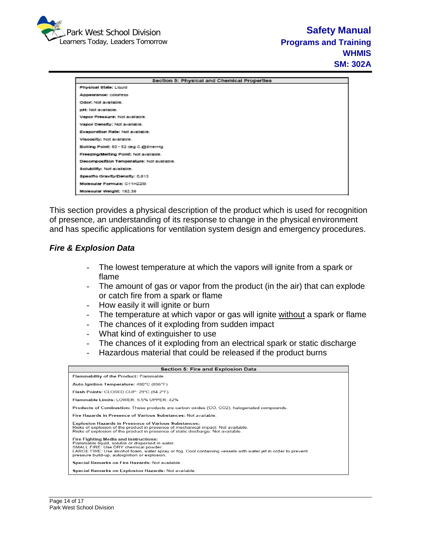

|                                           | Section S: Physical and Chemical Properties |
|-------------------------------------------|---------------------------------------------|
| Physical State: Liquid                    |                                             |
| Appearance: coloriess                     |                                             |
| Odor: Not available.                      |                                             |
| pH: Not available.                        |                                             |
| Vapor Preccure: Not available.            |                                             |
| Vapor Density: Not available.             |                                             |
| Evaporation Rate: Not available.          |                                             |
| Vicoosity: Not available.                 |                                             |
| Bolling Point: 50 - 52 deg C @6mmHg       |                                             |
| Freezing/Melting Point: Not available.    |                                             |
| Decomposition Temperature: Not available. |                                             |
| Solubility: Not available.                |                                             |
| Specific Gravity/Density: 0.813           |                                             |
| Molecular Formula: C11H22SL               |                                             |
| Moleoular Weight: 182.38                  |                                             |

This section provides a physical description of the product which is used for recognition of presence, an understanding of its response to change in the physical environment and has specific applications for ventilation system design and emergency procedures.

### *Fire & Explosion Data*

- The lowest temperature at which the vapors will ignite from a spark or flame
- The amount of gas or vapor from the product (in the air) that can explode or catch fire from a spark or flame
- How easily it will ignite or burn
- The temperature at which vapor or gas will ignite without a spark or flame
- The chances of it exploding from sudden impact
- What kind of extinguisher to use
- The chances of it exploding from an electrical spark or static discharge<br>- Hazardous material that could be released if the product burns
- Hazardous material that could be released if the product burns

| Section 5: Fire and Explosion Data                                                                                                                                                                                                                                                                 |  |  |
|----------------------------------------------------------------------------------------------------------------------------------------------------------------------------------------------------------------------------------------------------------------------------------------------------|--|--|
| Flammability of the Product: Flammable.                                                                                                                                                                                                                                                            |  |  |
| Auto-Ignition Temperature: 480°C (896°F)                                                                                                                                                                                                                                                           |  |  |
| Flash Points: CLOSED CUP: 29°C (84.2°F).                                                                                                                                                                                                                                                           |  |  |
| Flammable Limits: LOWER: 5.5% UPPER: 42%                                                                                                                                                                                                                                                           |  |  |
| Products of Combustion: These products are carbon oxides (CO, CO2), halogenated compounds.                                                                                                                                                                                                         |  |  |
| Fire Hazards in Presence of Various Substances: Not available                                                                                                                                                                                                                                      |  |  |
| <b>Explosion Hazards in Presence of Various Substances:</b><br>Risks of explosion of the product in presence of mechanical impact: Not available.<br>Risks of explosion of the product in presence of static discharge: Not available.                                                             |  |  |
| Fire Fighting Media and Instructions:<br>Flammable liquid, soluble or dispersed in water.<br>SMALL FIRE: Use DRY chemical powder.<br>LARGE FIRE: Use alcohol foam, water spray or fog. Cool containing vessels with water jet in order to prevent<br>pressure build-up, autoignition or explosion. |  |  |
| Special Remarks on Fire Hazards: Not available.                                                                                                                                                                                                                                                    |  |  |
| Special Remarks on Explosion Hazards: Not available.                                                                                                                                                                                                                                               |  |  |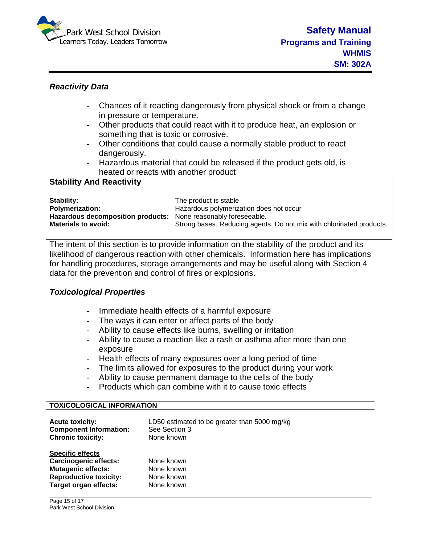

#### *Reactivity Data*

- Chances of it reacting dangerously from physical shock or from a change in pressure or temperature.
- Other products that could react with it to produce heat, an explosion or something that is toxic or corrosive.
- Other conditions that could cause a normally stable product to react dangerously.
- Hazardous material that could be released if the product gets old, is heated or reacts with another product

| <b>Stability And Reactivity</b>   |                                                                      |
|-----------------------------------|----------------------------------------------------------------------|
|                                   |                                                                      |
| Stability:                        | The product is stable                                                |
| <b>Polymerization:</b>            | Hazardous polymerization does not occur                              |
| Hazardous decomposition products: | None reasonably foreseeable.                                         |
| <b>Materials to avoid:</b>        | Strong bases. Reducing agents. Do not mix with chlorinated products. |
|                                   |                                                                      |

The intent of this section is to provide information on the stability of the product and its likelihood of dangerous reaction with other chemicals. Information here has implications for handling procedures, storage arrangements and may be useful along with Section 4 data for the prevention and control of fires or explosions.

### *Toxicological Properties*

- Immediate health effects of a harmful exposure
- The ways it can enter or affect parts of the body
- Ability to cause effects like burns, swelling or irritation
- Ability to cause a reaction like a rash or asthma after more than one exposure
- Health effects of many exposures over a long period of time
- The limits allowed for exposures to the product during your work
- Ability to cause permanent damage to the cells of the body
- Products which can combine with it to cause toxic effects

#### **TOXICOLOGICAL INFORMATION**

| <b>Acute toxicity:</b><br><b>Component Information:</b><br><b>Chronic toxicity:</b> | LD50 estimated to be greater than 5000 mg/kg<br>See Section 3<br>None known |
|-------------------------------------------------------------------------------------|-----------------------------------------------------------------------------|
| <b>Specific effects</b>                                                             |                                                                             |
| <b>Carcinogenic effects:</b>                                                        | None known                                                                  |
| <b>Mutagenic effects:</b>                                                           | None known                                                                  |
| <b>Reproductive toxicity:</b>                                                       | None known                                                                  |
| Target organ effects:                                                               | None known                                                                  |
|                                                                                     |                                                                             |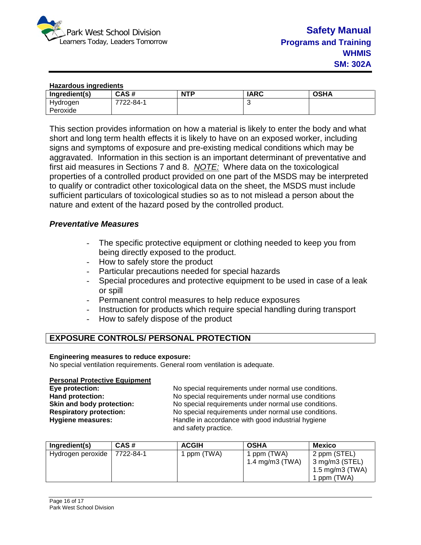

| <b>Hazardous ingredients</b> |           |            |             |             |
|------------------------------|-----------|------------|-------------|-------------|
| Ingredient(s)                | CAS#      | <b>NTP</b> | <b>IARC</b> | <b>OSHA</b> |
| Hydrogen                     | 7722-84-1 |            | u           |             |
| Peroxide                     |           |            |             |             |

This section provides information on how a material is likely to enter the body and what short and long term health effects it is likely to have on an exposed worker, including signs and symptoms of exposure and pre-existing medical conditions which may be aggravated. Information in this section is an important determinant of preventative and first aid measures in Sections 7 and 8. *NOTE:* Where data on the toxicological properties of a controlled product provided on one part of the MSDS may be interpreted to qualify or contradict other toxicological data on the sheet, the MSDS must include sufficient particulars of toxicological studies so as to not mislead a person about the nature and extent of the hazard posed by the controlled product.

#### *Preventative Measures*

- The specific protective equipment or clothing needed to keep you from being directly exposed to the product.
- How to safely store the product
- Particular precautions needed for special hazards
- Special procedures and protective equipment to be used in case of a leak or spill
- Permanent control measures to help reduce exposures
- Instruction for products which require special handling during transport
- How to safely dispose of the product

# **EXPOSURE CONTROLS/ PERSONAL PROTECTION**

#### **Engineering measures to reduce exposure:**

No special ventilation requirements. General room ventilation is adequate.

#### **Personal Protective Equipment**

**Eye protection:** No special requirements under normal use conditions. **Hand protection:** No special requirements under normal use conditions **Skin and body protection:** <br>
No special requirements under normal use conditions.<br>
No special requirements under normal use conditions. **Respiratory protection:** No special requirements under normal use conditions.<br> **Hygiene measures:** Handle in accordance with good industrial hygiene Handle in accordance with good industrial hygiene and safety practice.

| Ingredient(s)     | CAS#      | <b>ACGIH</b> | <b>OSHA</b>                    | <b>Mexico</b>                                                    |
|-------------------|-----------|--------------|--------------------------------|------------------------------------------------------------------|
| Hydrogen peroxide | 7722-84-1 | 1 ppm (TWA)  | 1 ppm (TWA)<br>1.4 mg/m3 (TWA) | 2 ppm (STEL)<br>3 mg/m3 (STEL)<br>1.5 mg/m3 (TWA)<br>1 ppm (TWA) |